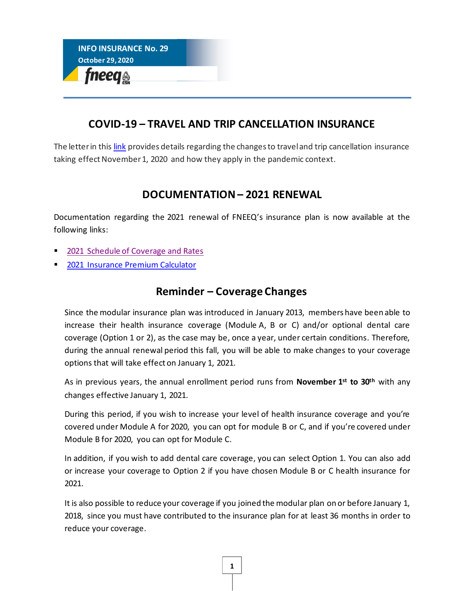

## **COVID-19 – TRAVEL AND TRIP CANCELLATION INSURANCE**

The letter in this [link](https://fneeq.qc.ca/wp-content/uploads/COVID-19_Precisions-ass.-voyage-et-annulation-au-202011-Comm.-pers.-adherente-FNEEQ-ANG.pdf) provides details regarding the changes to travel and trip cancellation insurance taking effect November 1, 2020 and how they apply in the pandemic context.

## **DOCUMENTATION – 2021 RENEWAL**

Documentation regarding the 2021 renewal of FNEEQ's insurance plan is now available at the following links:

- [2021 Schedule of Coverage and Rates](https://fneeq.qc.ca/wp-content/uploads/P281_Dep-AN_SommaireFNEEQ_20-10-1.pdf)
- [2021 Insurance Premium Calculator](https://fneeq.qc.ca/wp-content/uploads/2020-10-29-Calculateur-assurances-2021-En.xlsx)

## **Reminder – Coverage Changes**

Since the modular insurance plan was introduced in January 2013, members have been able to increase their health insurance coverage (Module A, B or C) and/or optional dental care coverage (Option 1 or 2), as the case may be, once a year, under certain conditions. Therefore, during the annual renewal period this fall, you will be able to make changes to your coverage options that will take effect on January 1, 2021.

As in previous years, the annual enrollment period runs from **November 1 st to 30th** with any changes effective January 1, 2021.

During this period, if you wish to increase your level of health insurance coverage and you're covered under Module A for 2020, you can opt for module B or C, and if you're covered under Module B for 2020, you can opt for Module C.

In addition, if you wish to add dental care coverage, you can select Option 1. You can also add or increase your coverage to Option 2 if you have chosen Module B or C health insurance for 2021.

It is also possible to reduce your coverage if you joined the modular plan on or before January 1, 2018, since you must have contributed to the insurance plan for at least 36 months in order to reduce your coverage.